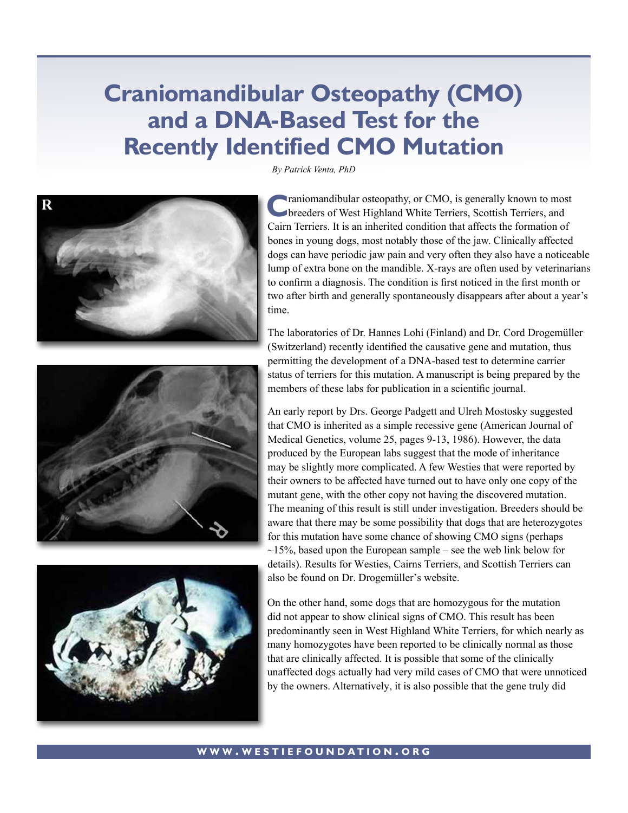## **Craniomandibular Osteopathy (CMO) and a DNA-Based Test for the Recently Identified CMO Mutation**







*By Patrick Venta, PhD*

**C**raniomandibular osteopathy, or CMO, is generally known to most<br>breeders of West Highland White Terriers, Scottish Terriers, and Cairn Terriers. It is an inherited condition that affects the formation of bones in young dogs, most notably those of the jaw. Clinically affected dogs can have periodic jaw pain and very often they also have a noticeable lump of extra bone on the mandible. X-rays are often used by veterinarians to confirm a diagnosis. The condition is first noticed in the first month or two after birth and generally spontaneously disappears after about a year's time.

The laboratories of Dr. Hannes Lohi (Finland) and Dr. Cord Drogemüller (Switzerland) recently identified the causative gene and mutation, thus permitting the development of a DNA-based test to determine carrier status of terriers for this mutation. A manuscript is being prepared by the members of these labs for publication in a scientific journal.

An early report by Drs. George Padgett and Ulreh Mostosky suggested that CMO is inherited as a simple recessive gene (American Journal of Medical Genetics, volume 25, pages 9-13, 1986). However, the data produced by the European labs suggest that the mode of inheritance may be slightly more complicated. A few Westies that were reported by their owners to be affected have turned out to have only one copy of the mutant gene, with the other copy not having the discovered mutation. The meaning of this result is still under investigation. Breeders should be aware that there may be some possibility that dogs that are heterozygotes for this mutation have some chance of showing CMO signs (perhaps  $\sim$ 15%, based upon the European sample – see the web link below for details). Results for Westies, Cairns Terriers, and Scottish Terriers can also be found on Dr. Drogemüller's website.

[On the other hand, some dogs that are homozygous for the mutation](http://www.vetsuisse.unibe.ch/unibe/vetmed/genetic/content/e2885/e3121/e186705/files186706/Interpretation_CMO_Gentest_e_eng.pdf)  did not appear to show clinical signs of CMO. This result has been predominantly seen in West Highland White Terriers, for which nearly as many homozygotes have been reported to be clinically normal as those that are clinically affected. It is possible that some of the clinically unaffected dogs actually had very mild cases of CMO that were unnoticed by the owners. Alternatively, it is also possible that the gene truly did